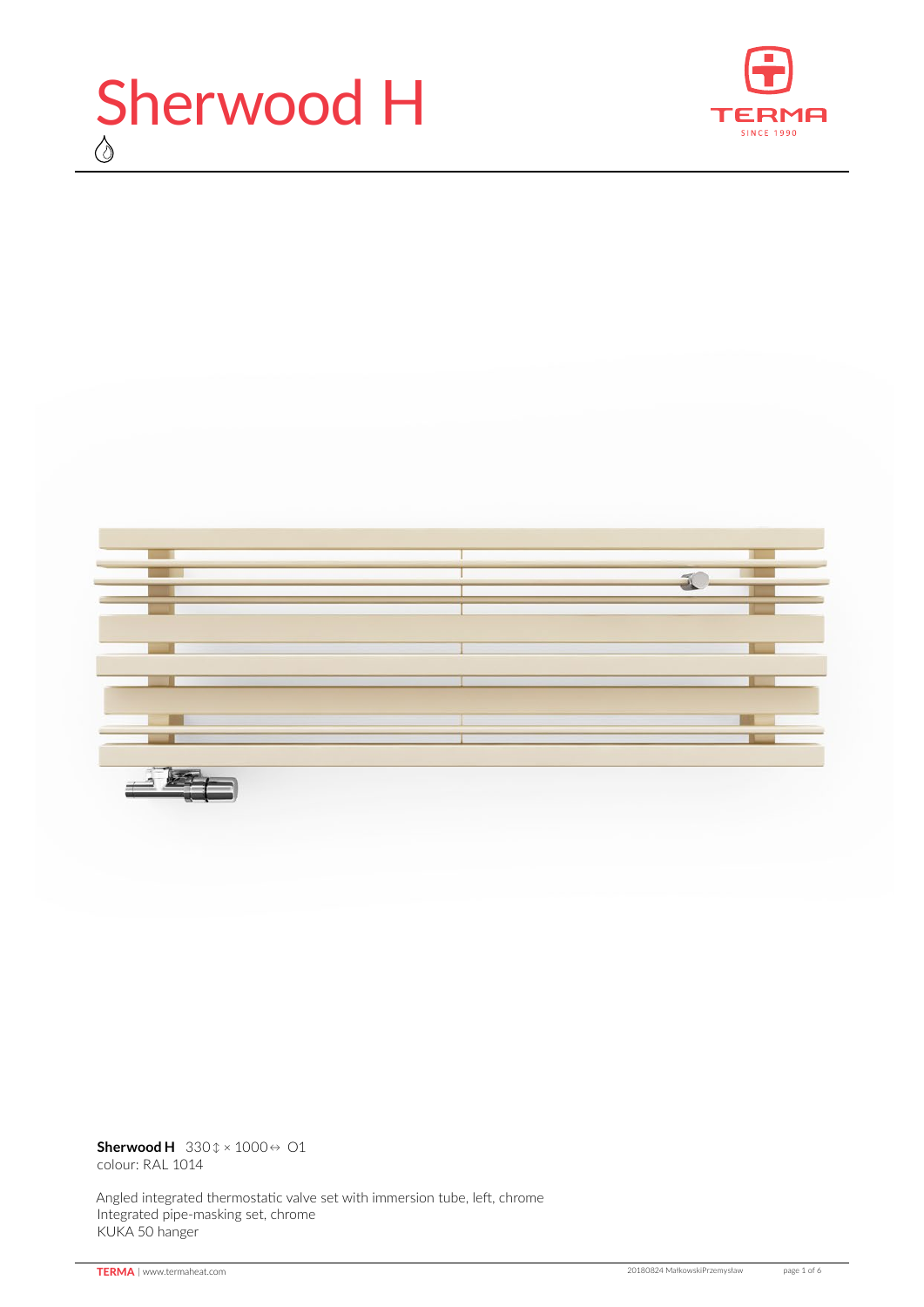# Sherwood H  $\Diamond$





**Sherwood H** 330 **↓**  $\times$  1000  $\leftrightarrow$  01 colour: RAL 1014

Angled integrated thermostatic valve set with immersion tube, left, chrome Integrated pipe‑masking set, chrome KUKA 50 hanger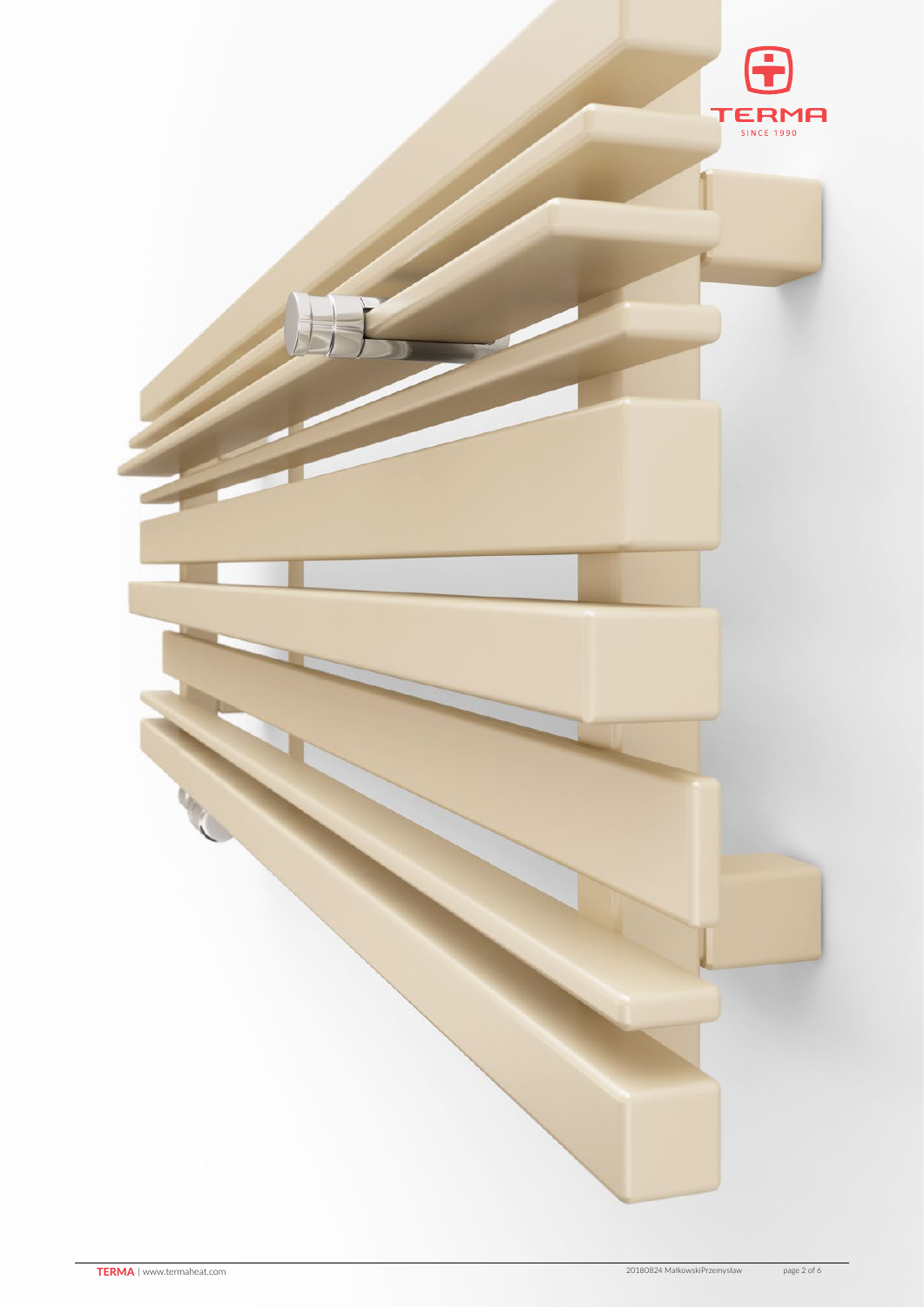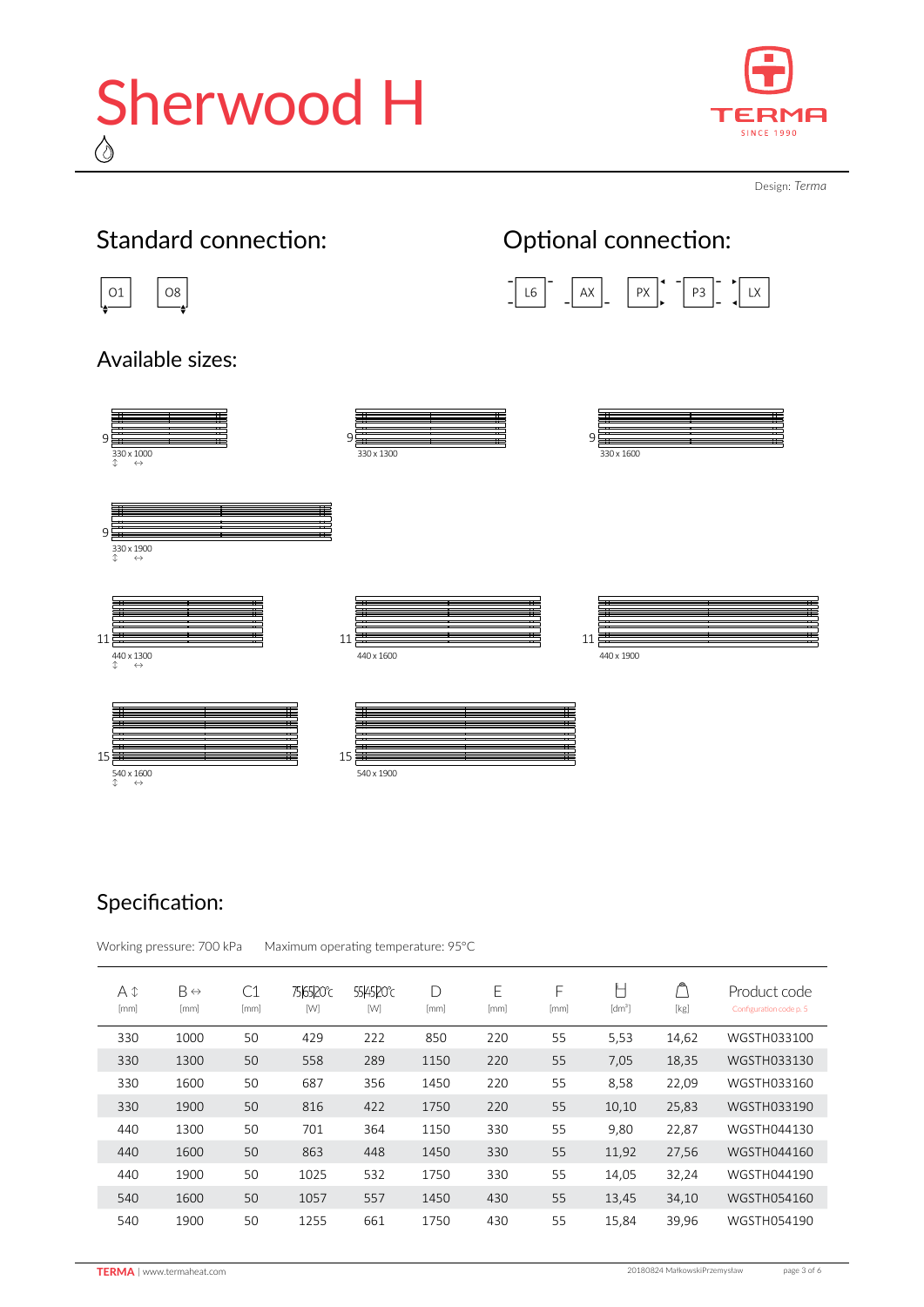



Design: *Terma*

| <b>Standard connection:</b>                                                           | <b>Optional connection:</b>            |  |  |  |  |  |  |
|---------------------------------------------------------------------------------------|----------------------------------------|--|--|--|--|--|--|
| O8<br>$\mathsf{O}1$                                                                   | LX<br>L6<br>AX<br>PX<br>P <sub>3</sub> |  |  |  |  |  |  |
| Available sizes:                                                                      |                                        |  |  |  |  |  |  |
| 9<br>$\ensuremath{\mathsf{350}}\xspace \times 1000 \ensuremath{\mathsf{0}}\xspace$    | 9<br>9<br>330 x 1300<br>330 x 1600     |  |  |  |  |  |  |
| 9<br>$\begin{array}{ccc} 330 \times 1900 \\ \mathbb{C} & \leftrightarrow \end{array}$ |                                        |  |  |  |  |  |  |
| $11\bar{5}$<br>440 x 1300<br>↥<br>$\leftrightarrow$                                   | 11를<br>11<br>440 x 1600<br>440 x 1900  |  |  |  |  |  |  |
| 15<br>540 x 1600<br>⇕<br>$\leftrightarrow$                                            | $15 \equiv$<br>540 x 1900              |  |  |  |  |  |  |

## Specification:

Working pressure: 700 kPa Maximum operating temperature: 95°C

| $A \mathcal{I}$<br>[mm] | $B \leftrightarrow$<br>[mm] | С1<br>[mm] | 756520°C<br>[W] | 554520°C<br>[W] | D<br>[mm] | F<br>[mm] | F<br>[mm] | $\overline{\phantom{a}}$<br>[dm <sup>3</sup> ] | [kg]  | Product code<br>Configuration code p. 5 |
|-------------------------|-----------------------------|------------|-----------------|-----------------|-----------|-----------|-----------|------------------------------------------------|-------|-----------------------------------------|
| 330                     | 1000                        | 50         | 429             | 222             | 850       | 220       | 55        | 5,53                                           | 14,62 | WGSTH033100                             |
| 330                     | 1300                        | 50         | 558             | 289             | 1150      | 220       | 55        | 7,05                                           | 18,35 | WGSTH033130                             |
| 330                     | 1600                        | 50         | 687             | 356             | 1450      | 220       | 55        | 8,58                                           | 22,09 | WGSTH033160                             |
| 330                     | 1900                        | 50         | 816             | 422             | 1750      | 220       | 55        | 10,10                                          | 25,83 | WGSTH033190                             |
| 440                     | 1300                        | 50         | 701             | 364             | 1150      | 330       | 55        | 9,80                                           | 22,87 | WGSTH044130                             |
| 440                     | 1600                        | 50         | 863             | 448             | 1450      | 330       | 55        | 11,92                                          | 27,56 | WGSTH044160                             |
| 440                     | 1900                        | 50         | 1025            | 532             | 1750      | 330       | 55        | 14,05                                          | 32,24 | WGSTH044190                             |
| 540                     | 1600                        | 50         | 1057            | 557             | 1450      | 430       | 55        | 13,45                                          | 34,10 | WGSTH054160                             |
| 540                     | 1900                        | 50         | 1255            | 661             | 1750      | 430       | 55        | 15,84                                          | 39,96 | WGSTH054190                             |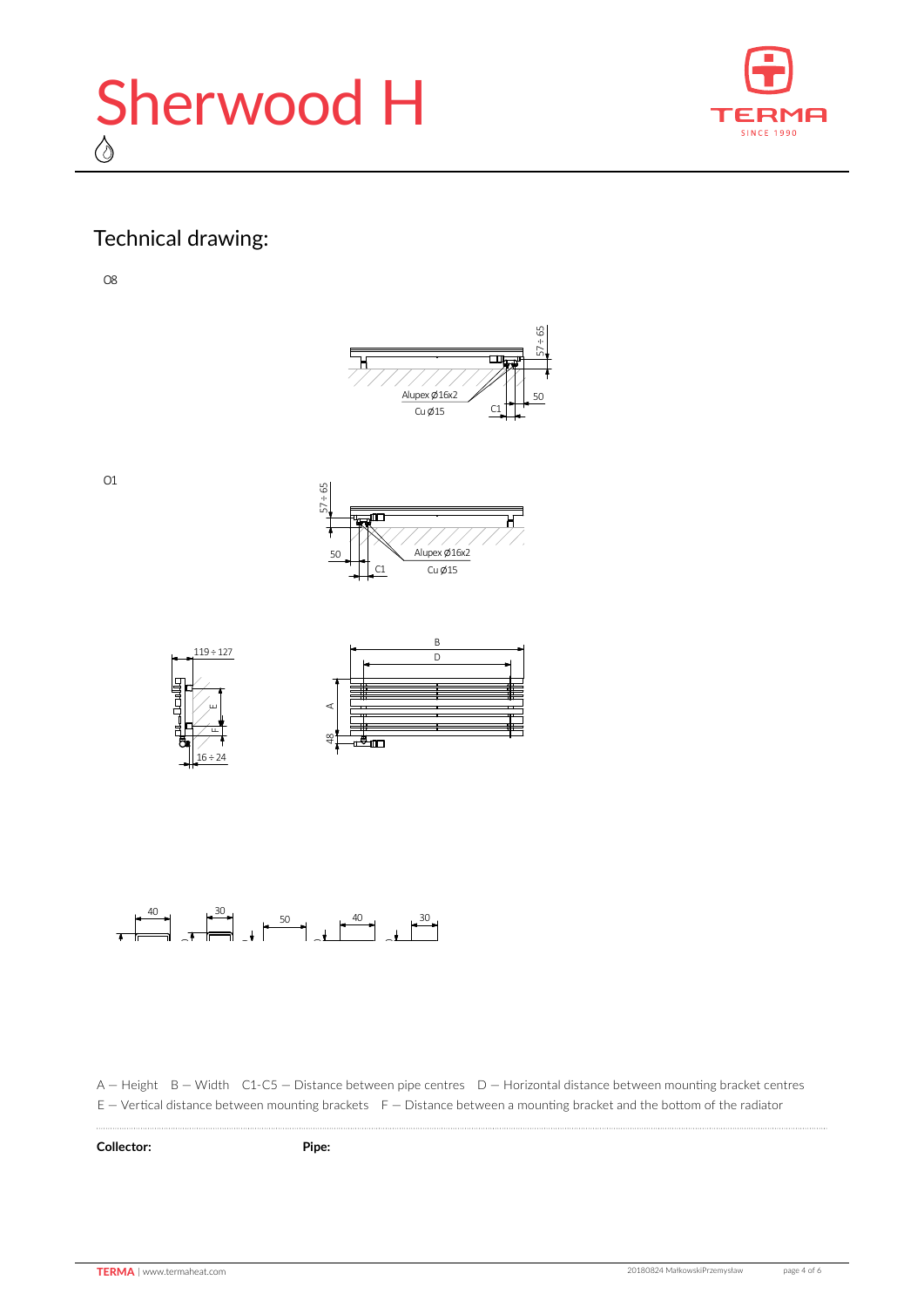# Sherwood H



#### Technical drawing:

O<sub>8</sub>

 $O1$ 



Alupex Ø16x2 Cu Ø15

 $C1$ 

50

ϱϳ р ϲϱ

 $57 \div 65$ 





A — Height B — Width C1-C5 — Distance between pipe centres D — Horizontal distance between mounting bracket centres E — Vertical distance between mounting brackets F — Distance between a mounting bracket and the bottom of the radiator

**Collector: Pipe:**

 $\overline{\phantom{a}}$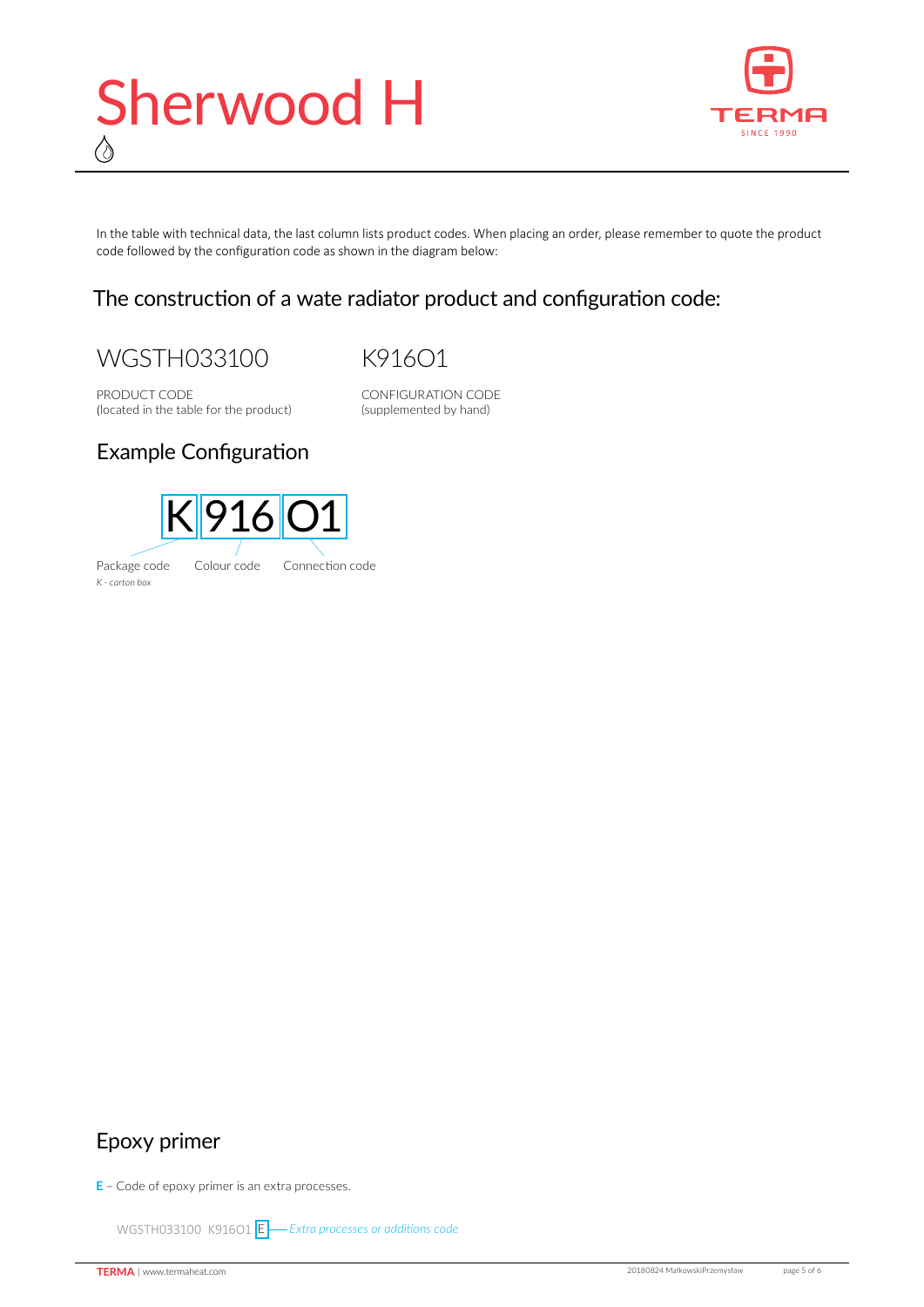# Sherwood H



In the table with technical data, the last column lists product codes. When placing an order, please remember to quote the product code followed by the configuration code as shown in the diagram below:

### The construction of a wate radiator product and configuration code:

### WGSTH033100

K916O1

PRODUCT CODE (located in the table for the product) CONFIGURATION CODE (supplemented by hand)

### Example Configuration



### Epoxy primer

**E** – Code of epoxy primer is an extra processes.

WGSTH033100 K916O1 E *Extra processes or additions code*